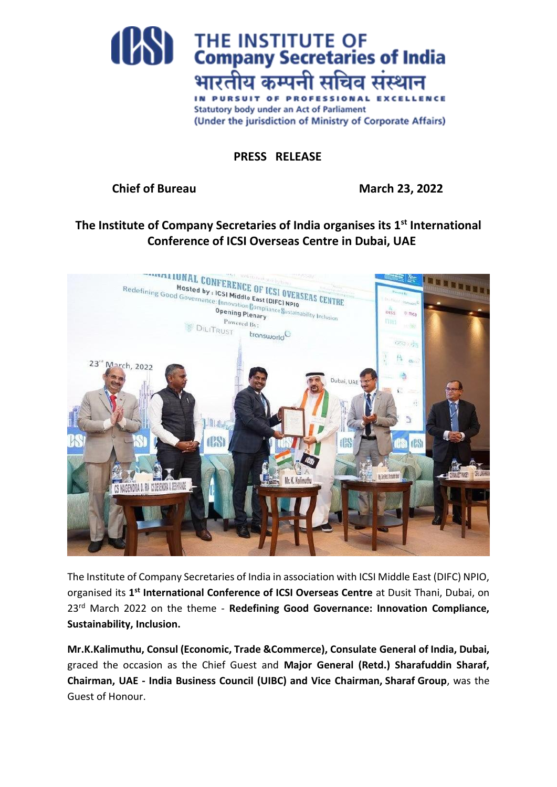

**PRESS RELEASE**

## **Chief of Bureau March 23, 2022**

**The Institute of Company Secretaries of India organises its 1st International Conference of ICSI Overseas Centre in Dubai, UAE**



The Institute of Company Secretaries of India in association with ICSI Middle East (DIFC) NPIO, organised its **1 st International Conference of ICSI Overseas Centre** at Dusit Thani, Dubai, on 23rd March 2022 on the theme - **Redefining Good Governance: Innovation Compliance, Sustainability, Inclusion.** 

**Mr.K.Kalimuthu, Consul (Economic, Trade &Commerce), Consulate General of India, Dubai,** graced the occasion as the Chief Guest and **Major General (Retd.) Sharafuddin Sharaf, Chairman, UAE - India Business Council (UIBC) and Vice Chairman, Sharaf Group**, was the Guest of Honour.